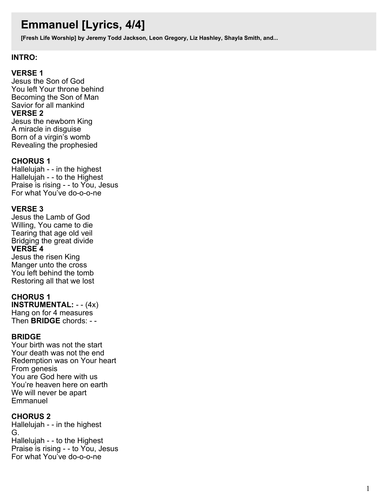# **Emmanuel [Lyrics, 4/4]**

**[Fresh Life Worship] by Jeremy Todd Jackson, Leon Gregory, Liz Hashley, Shayla Smith, and...**

### **INTRO:**

### **VERSE 1**

Jesus the Son of God You left Your throne behind Becoming the Son of Man Savior for all mankind **VERSE 2** Jesus the newborn King A miracle in disguise Born of a virgin's womb Revealing the prophesied

#### **CHORUS 1**

Hallelujah - - in the highest Hallelujah - - to the Highest Praise is rising - - to You, Jesus For what You've do-o-o-ne

#### **VERSE 3**

Jesus the Lamb of God Willing, You came to die Tearing that age old veil Bridging the great divide **VERSE 4** Jesus the risen King Manger unto the cross You left behind the tomb Restoring all that we lost

#### **CHORUS 1**

**INSTRUMENTAL:** - - (4x) Hang on for 4 measures Then **BRIDGE** chords: - -

#### **BRIDGE**

Your birth was not the start Your death was not the end Redemption was on Your heart From genesis You are God here with us You're heaven here on earth We will never be apart **Emmanuel** 

## **CHORUS 2**

Hallelujah - - in the highest G. Hallelujah - - to the Highest Praise is rising - - to You, Jesus For what You've do-o-o-ne